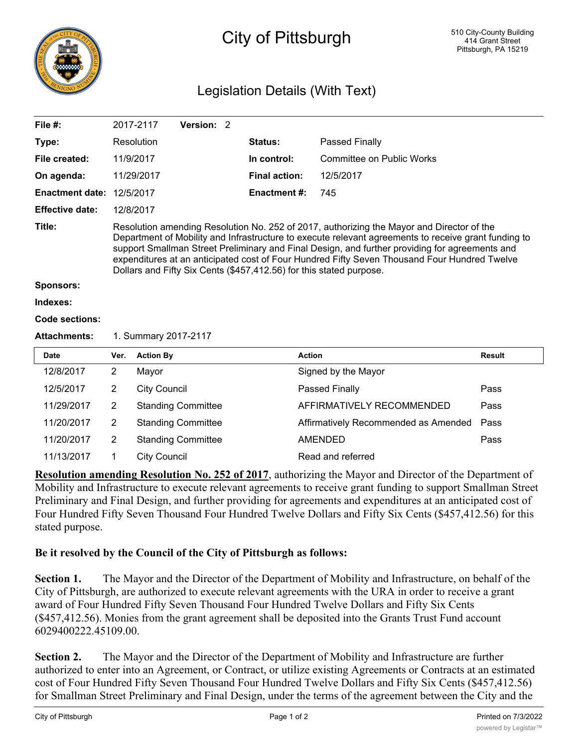

## City of Pittsburgh

## Legislation Details (With Text)

| File $#$ :             |                                                                                                                                                                                                                                                                                                                                                                                                                                                                            | 2017-2117           | Version: 2                |  |                      |                                      |               |  |
|------------------------|----------------------------------------------------------------------------------------------------------------------------------------------------------------------------------------------------------------------------------------------------------------------------------------------------------------------------------------------------------------------------------------------------------------------------------------------------------------------------|---------------------|---------------------------|--|----------------------|--------------------------------------|---------------|--|
| Type:                  |                                                                                                                                                                                                                                                                                                                                                                                                                                                                            | Resolution          |                           |  | <b>Status:</b>       | Passed Finally                       |               |  |
| File created:          |                                                                                                                                                                                                                                                                                                                                                                                                                                                                            | 11/9/2017           |                           |  | In control:          | <b>Committee on Public Works</b>     |               |  |
| On agenda:             |                                                                                                                                                                                                                                                                                                                                                                                                                                                                            | 11/29/2017          |                           |  | <b>Final action:</b> | 12/5/2017                            |               |  |
| <b>Enactment date:</b> | 12/5/2017                                                                                                                                                                                                                                                                                                                                                                                                                                                                  |                     |                           |  | <b>Enactment #:</b>  | 745                                  |               |  |
| <b>Effective date:</b> |                                                                                                                                                                                                                                                                                                                                                                                                                                                                            | 12/8/2017           |                           |  |                      |                                      |               |  |
| Title:                 | Resolution amending Resolution No. 252 of 2017, authorizing the Mayor and Director of the<br>Department of Mobility and Infrastructure to execute relevant agreements to receive grant funding to<br>support Smallman Street Preliminary and Final Design, and further providing for agreements and<br>expenditures at an anticipated cost of Four Hundred Fifty Seven Thousand Four Hundred Twelve<br>Dollars and Fifty Six Cents (\$457,412.56) for this stated purpose. |                     |                           |  |                      |                                      |               |  |
| <b>Sponsors:</b>       |                                                                                                                                                                                                                                                                                                                                                                                                                                                                            |                     |                           |  |                      |                                      |               |  |
| Indexes:               |                                                                                                                                                                                                                                                                                                                                                                                                                                                                            |                     |                           |  |                      |                                      |               |  |
| Code sections:         |                                                                                                                                                                                                                                                                                                                                                                                                                                                                            |                     |                           |  |                      |                                      |               |  |
| <b>Attachments:</b>    | 1. Summary 2017-2117                                                                                                                                                                                                                                                                                                                                                                                                                                                       |                     |                           |  |                      |                                      |               |  |
| <b>Date</b>            | Ver.                                                                                                                                                                                                                                                                                                                                                                                                                                                                       | <b>Action By</b>    |                           |  |                      | <b>Action</b>                        | <b>Result</b> |  |
| 12/8/2017              | $\overline{2}$                                                                                                                                                                                                                                                                                                                                                                                                                                                             | Mayor               |                           |  |                      | Signed by the Mayor                  |               |  |
| 12/5/2017              | $\overline{2}$                                                                                                                                                                                                                                                                                                                                                                                                                                                             | <b>City Council</b> |                           |  |                      | Passed Finally                       | Pass          |  |
| 11/29/2017             | $\overline{2}$                                                                                                                                                                                                                                                                                                                                                                                                                                                             |                     |                           |  |                      |                                      |               |  |
|                        |                                                                                                                                                                                                                                                                                                                                                                                                                                                                            |                     | <b>Standing Committee</b> |  |                      | AFFIRMATIVELY RECOMMENDED            | Pass          |  |
| 11/20/2017             | $\overline{2}$                                                                                                                                                                                                                                                                                                                                                                                                                                                             |                     | <b>Standing Committee</b> |  |                      | Affirmatively Recommended as Amended | Pass          |  |
| 11/20/2017             | $\overline{2}$                                                                                                                                                                                                                                                                                                                                                                                                                                                             |                     | <b>Standing Committee</b> |  |                      | <b>AMENDED</b>                       | Pass          |  |

**Resolution amending Resolution No. 252 of 2017**, authorizing the Mayor and Director of the Department of Mobility and Infrastructure to execute relevant agreements to receive grant funding to support Smallman Street Preliminary and Final Design, and further providing for agreements and expenditures at an anticipated cost of Four Hundred Fifty Seven Thousand Four Hundred Twelve Dollars and Fifty Six Cents (\$457,412.56) for this stated purpose.

## **Be it resolved by the Council of the City of Pittsburgh as follows:**

**Section 1.** The Mayor and the Director of the Department of Mobility and Infrastructure, on behalf of the City of Pittsburgh, are authorized to execute relevant agreements with the URA in order to receive a grant award of Four Hundred Fifty Seven Thousand Four Hundred Twelve Dollars and Fifty Six Cents (\$457,412.56). Monies from the grant agreement shall be deposited into the Grants Trust Fund account 6029400222.45109.00.

**Section 2.** The Mayor and the Director of the Department of Mobility and Infrastructure are further authorized to enter into an Agreement, or Contract, or utilize existing Agreements or Contracts at an estimated cost of Four Hundred Fifty Seven Thousand Four Hundred Twelve Dollars and Fifty Six Cents (\$457,412.56) for Smallman Street Preliminary and Final Design, under the terms of the agreement between the City and the